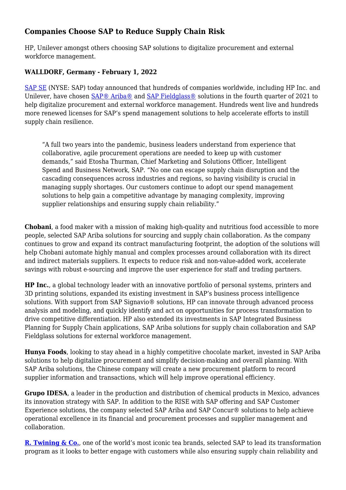# **Companies Choose SAP to Reduce Supply Chain Risk**

HP, Unilever amongst others choosing SAP solutions to digitalize procurement and external workforce management.

## **WALLDORF, Germany - February 1, 2022**

[SAP SE](http://www.sap.com/) (NYSE: SAP) today announced that hundreds of companies worldwide, including HP Inc. and Unilever, have chosen [SAP® Ariba®](https://www.ariba.com/) and [SAP Fieldglass®](https://www.fieldglass.com/) solutions in the fourth quarter of 2021 to help digitalize procurement and external workforce management. Hundreds went live and hundreds more renewed licenses for SAP's spend management solutions to help accelerate efforts to instill supply chain resilience.

"A full two years into the pandemic, business leaders understand from experience that collaborative, agile procurement operations are needed to keep up with customer demands," said Etosha Thurman, Chief Marketing and Solutions Officer, Intelligent Spend and Business Network, SAP. "No one can escape supply chain disruption and the cascading consequences across industries and regions, so having visibility is crucial in managing supply shortages. Our customers continue to adopt our spend management solutions to help gain a competitive advantage by managing complexity, improving supplier relationships and ensuring supply chain reliability."

**Chobani**, a food maker with a mission of making high-quality and nutritious food accessible to more people, selected SAP Ariba solutions for sourcing and supply chain collaboration. As the company continues to grow and expand its contract manufacturing footprint, the adoption of the solutions will help Chobani automate highly manual and complex processes around collaboration with its direct and indirect materials suppliers. It expects to reduce risk and non-value-added work, accelerate savings with robust e-sourcing and improve the user experience for staff and trading partners.

**HP Inc.**, a global technology leader with an innovative portfolio of personal systems, printers and 3D printing solutions, expanded its existing investment in SAP's business process intelligence solutions. With support from SAP Signavio® solutions, HP can innovate through advanced process analysis and modeling, and quickly identify and act on opportunities for process transformation to drive competitive differentiation. HP also extended its investments in SAP Integrated Business Planning for Supply Chain applications, SAP Ariba solutions for supply chain collaboration and SAP Fieldglass solutions for external workforce management.

**Hunya Foods**, looking to stay ahead in a highly competitive chocolate market, invested in SAP Ariba solutions to help digitalize procurement and simplify decision-making and overall planning. With SAP Ariba solutions, the Chinese company will create a new procurement platform to record supplier information and transactions, which will help improve operational efficiency.

**Grupo IDESA**, a leader in the production and distribution of chemical products in Mexico, advances its innovation strategy with SAP. In addition to the RISE with SAP offering and SAP Customer Experience solutions, the company selected SAP Ariba and SAP Concur® solutions to help achieve operational excellence in its financial and procurement processes and supplier management and collaboration.

**[R. Twining & Co.](https://news.sap.com/uk/2022/01/tea-for-two-twinings-ovaltine-and-sap-partner-to-develop-the-perfect-blend-of-customer-experience-personalisation-and-reduced-it-complexity/)**, one of the world's most iconic tea brands, selected SAP to lead its transformation program as it looks to better engage with customers while also ensuring supply chain reliability and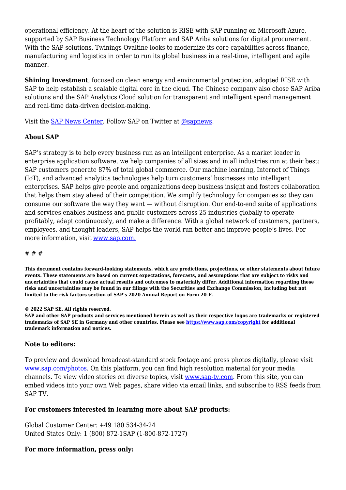operational efficiency. At the heart of the solution is RISE with SAP running on Microsoft Azure, supported by SAP Business Technology Platform and SAP Ariba solutions for digital procurement. With the SAP solutions, Twinings Ovaltine looks to modernize its core capabilities across finance, manufacturing and logistics in order to run its global business in a real-time, intelligent and agile manner.

**Shining Investment**, focused on clean energy and environmental protection, adopted RISE with SAP to help establish a scalable digital core in the cloud. The Chinese company also chose SAP Ariba solutions and the SAP Analytics Cloud solution for transparent and intelligent spend management and real-time data-driven decision-making.

Visit the **SAP News Center**. Follow SAP on Twitter at **@sapnews**.

### **About SAP**

SAP's strategy is to help every business run as an intelligent enterprise. As a market leader in enterprise application software, we help companies of all sizes and in all industries run at their best: SAP customers generate 87% of total global commerce. Our machine learning, Internet of Things (IoT), and advanced analytics technologies help turn customers' businesses into intelligent enterprises. SAP helps give people and organizations deep business insight and fosters collaboration that helps them stay ahead of their competition. We simplify technology for companies so they can consume our software the way they want — without disruption. Our end-to-end suite of applications and services enables business and public customers across 25 industries globally to operate profitably, adapt continuously, and make a difference. With a global network of customers, partners, employees, and thought leaders, SAP helps the world run better and improve people's lives. For more information, visit [www.sap.com.](http://www.sap.com/)

#### # # #

**This document contains forward-looking statements, which are predictions, projections, or other statements about future events. These statements are based on current expectations, forecasts, and assumptions that are subject to risks and uncertainties that could cause actual results and outcomes to materially differ. Additional information regarding these risks and uncertainties may be found in our filings with the Securities and Exchange Commission, including but not limited to the risk factors section of SAP's 2020 Annual Report on Form 20-F.**

**© 2022 SAP SE. All rights reserved.** 

**SAP and other SAP products and services mentioned herein as well as their respective logos are trademarks or registered trademarks of SAP SE in Germany and other countries. Please see [https://www.sap.com/copyright](https://www.sap.com/corporate/en/legal/copyright.html) for additional trademark information and notices.**

### **Note to editors:**

To preview and download broadcast-standard stock footage and press photos digitally, please visit [www.sap.com/photos](http://www.sap.com/photos). On this platform, you can find high resolution material for your media channels. To view video stories on diverse topics, visit [www.sap-tv.com.](http://www.sap-tv.com) From this site, you can embed videos into your own Web pages, share video via email links, and subscribe to RSS feeds from SAP TV.

#### **For customers interested in learning more about SAP products:**

Global Customer Center: +49 180 534-34-24 United States Only: 1 (800) 872-1SAP (1-800-872-1727)

## **For more information, press only:**